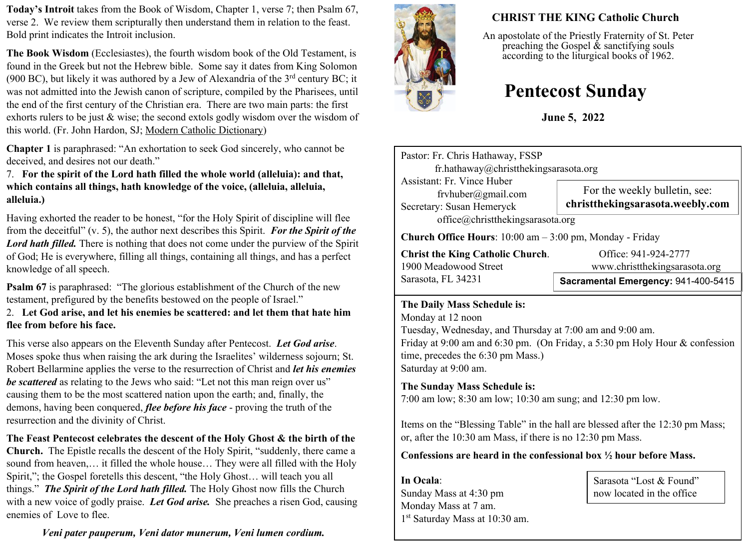**Today's Introit** takes from the Book of Wisdom, Chapter 1, verse 7; then Psalm 67, verse 2. We review them scripturally then understand them in relation to the feast. Bold print indicates the Introit inclusion.

**The Book Wisdom** (Ecclesiastes), the fourth wisdom book of the Old Testament, is found in the Greek but not the Hebrew bible. Some say it dates from King Solomon (900 BC), but likely it was authored by a Jew of Alexandria of the  $3<sup>rd</sup>$  century BC; it was not admitted into the Jewish canon of scripture, compiled by the Pharisees, until the end of the first century of the Christian era. There are two main parts: the first exhorts rulers to be just & wise; the second extols godly wisdom over the wisdom of this world. (Fr. John Hardon, SJ; Modern Catholic Dictionary)

**Chapter 1** is paraphrased: "An exhortation to seek God sincerely, who cannot be deceived, and desires not our death."

7. **For the spirit of the Lord hath filled the whole world (alleluia): and that, which contains all things, hath knowledge of the voice, (alleluia, alleluia, alleluia.)**

Having exhorted the reader to be honest, "for the Holy Spirit of discipline will flee from the deceitful" (v. 5), the author next describes this Spirit. *For the Spirit of the*  Lord hath filled. There is nothing that does not come under the purview of the Spirit of God; He is everywhere, filling all things, containing all things, and has a perfect knowledge of all speech.

**Psalm 67** is paraphrased: "The glorious establishment of the Church of the new testament, prefigured by the benefits bestowed on the people of Israel."

2. **Let God arise, and let his enemies be scattered: and let them that hate him flee from before his face.**

This verse also appears on the Eleventh Sunday after Pentecost. *Let God arise*. Moses spoke thus when raising the ark during the Israelites' wilderness sojourn; St. Robert Bellarmine applies the verse to the resurrection of Christ and *let his enemies be scattered* as relating to the Jews who said: "Let not this man reign over us" causing them to be the most scattered nation upon the earth; and, finally, the demons, having been conquered, *flee before his face* - proving the truth of the resurrection and the divinity of Christ.

**The Feast Pentecost celebrates the descent of the Holy Ghost & the birth of the Church.** The Epistle recalls the descent of the Holy Spirit, "suddenly, there came a sound from heaven,… it filled the whole house… They were all filled with the Holy Spirit,"; the Gospel foretells this descent, "the Holy Ghost… will teach you all things." *The Spirit of the Lord hath filled.* The Holy Ghost now fills the Church with a new voice of godly praise. *Let God arise.* She preaches a risen God, causing enemies of Love to flee.

*Veni pater pauperum, Veni dator munerum, Veni lumen cordium.*



# **CHRIST THE KING Catholic Church**

An apostolate of the Priestly Fraternity of St. Peter preaching the Gospel  $\&$  sanctifying souls according to the liturgical books of 1962.

# **Pentecost Sunday**

**June 5, 2022**

Pastor: Fr. Chris Hathaway, FSSP fr.hathaway@christthekingsarasota.org Assistant: Fr. Vince Huber frvhuber@gmail.com Secretary: Susan Hemeryck office@christthekingsarasota.org **Church Office Hours**: 10:00 am – 3:00 pm, Monday - Friday **Christ the King Catholic Church.** Office: 941-924-2777 1900 Meadowood Street www.christthekingsarasota.org Sarasota, FL 34231 **Sacramental Emergency:** 941-400-5415 For the weekly bulletin, see: **christthekingsarasota.weebly.com**

#### **The Daily Mass Schedule is:**

Monday at 12 noon Tuesday, Wednesday, and Thursday at 7:00 am and 9:00 am. Friday at 9:00 am and 6:30 pm. (On Friday, a 5:30 pm Holy Hour & confession time, precedes the 6:30 pm Mass.) Saturday at 9:00 am.

### **The Sunday Mass Schedule is:**

7:00 am low; 8:30 am low; 10:30 am sung; and 12:30 pm low.

Items on the "Blessing Table" in the hall are blessed after the 12:30 pm Mass; or, after the 10:30 am Mass, if there is no 12:30 pm Mass.

#### **Confessions are heard in the confessional box ½ hour before Mass.**

**In Ocala**: Sunday Mass at 4:30 pm Monday Mass at 7 am. 1 st Saturday Mass at 10:30 am.

Sarasota "Lost & Found" now located in the office